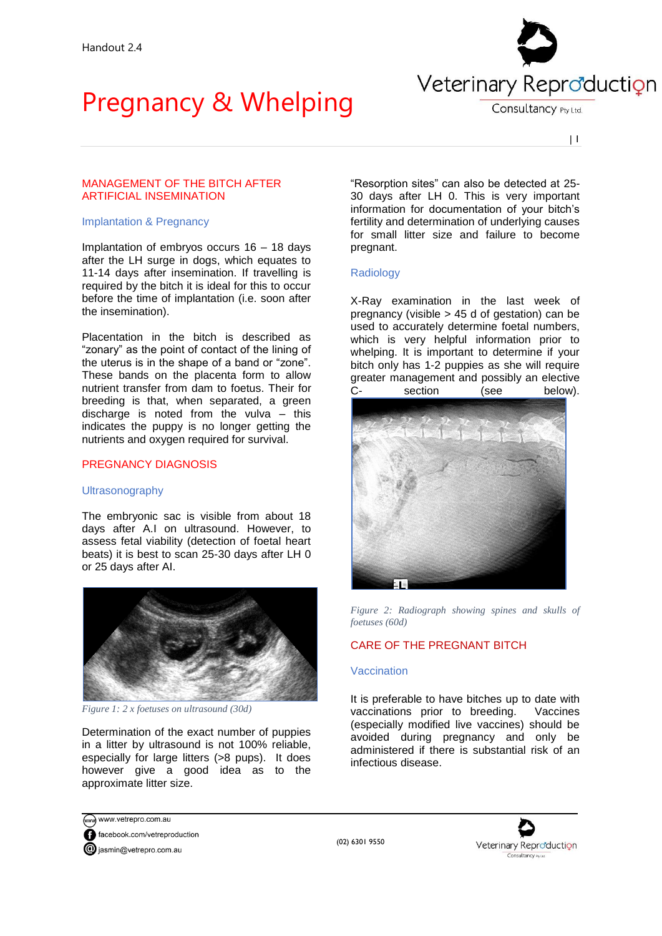

Consultancy Pty Ltd.

 $| 1$ 

## MANAGEMENT OF THE BITCH AFTER ARTIFICIAL INSEMINATION

#### Implantation & Pregnancy

Implantation of embryos occurs 16 – 18 days after the LH surge in dogs, which equates to 11-14 days after insemination. If travelling is required by the bitch it is ideal for this to occur before the time of implantation (i.e. soon after the insemination).

Placentation in the bitch is described as "zonary" as the point of contact of the lining of the uterus is in the shape of a band or "zone". These bands on the placenta form to allow nutrient transfer from dam to foetus. Their for breeding is that, when separated, a green discharge is noted from the vulva – this indicates the puppy is no longer getting the nutrients and oxygen required for survival.

## PREGNANCY DIAGNOSIS

### Ultrasonography

The embryonic sac is visible from about 18 days after A.I on ultrasound. However, to assess fetal viability (detection of foetal heart beats) it is best to scan 25-30 days after LH 0 or 25 days after AI.



*Figure 1: 2 x foetuses on ultrasound (30d)*

Determination of the exact number of puppies in a litter by ultrasound is not 100% reliable, especially for large litters (>8 pups). It does however give a good idea as to the approximate litter size.

"Resorption sites" can also be detected at 25- 30 days after LH 0. This is very important information for documentation of your bitch's fertility and determination of underlying causes for small litter size and failure to become pregnant.

### Radiology

X-Ray examination in the last week of pregnancy (visible > 45 d of gestation) can be used to accurately determine foetal numbers, which is very helpful information prior to whelping. It is important to determine if your bitch only has 1-2 puppies as she will require greater management and possibly an elective C- section (see below).



*Figure 2: Radiograph showing spines and skulls of foetuses (60d)*

## CARE OF THE PREGNANT BITCH

### **Vaccination**

It is preferable to have bitches up to date with vaccinations prior to breeding. Vaccines (especially modified live vaccines) should be avoided during pregnancy and only be administered if there is substantial risk of an infectious disease.

www.vetrepro.com.au facebook.com/vetreproduction **@** jasmin@vetrepro.com.au



(02) 6301 9550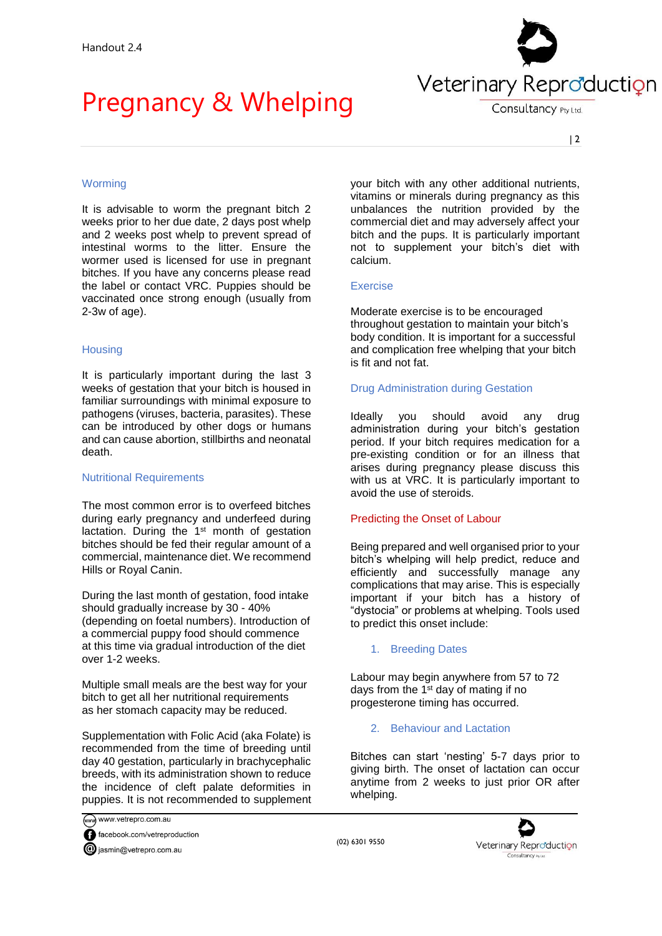

Consultancy Pty Ltd.

# **Worming**

It is advisable to worm the pregnant bitch 2 weeks prior to her due date, 2 days post whelp and 2 weeks post whelp to prevent spread of intestinal worms to the litter. Ensure the wormer used is licensed for use in pregnant bitches. If you have any concerns please read the label or contact VRC. Puppies should be vaccinated once strong enough (usually from 2-3w of age).

## **Housing**

It is particularly important during the last 3 weeks of gestation that your bitch is housed in familiar surroundings with minimal exposure to pathogens (viruses, bacteria, parasites). These can be introduced by other dogs or humans and can cause abortion, stillbirths and neonatal death.

### Nutritional Requirements

The most common error is to overfeed bitches during early pregnancy and underfeed during lactation. During the 1<sup>st</sup> month of gestation bitches should be fed their regular amount of a commercial, maintenance diet. We recommend Hills or Royal Canin.

During the last month of gestation, food intake should gradually increase by 30 - 40% (depending on foetal numbers). Introduction of a commercial puppy food should commence at this time via gradual introduction of the diet over 1-2 weeks.

Multiple small meals are the best way for your bitch to get all her nutritional requirements as her stomach capacity may be reduced.

Supplementation with Folic Acid (aka Folate) is recommended from the time of breeding until day 40 gestation, particularly in brachycephalic breeds, with its administration shown to reduce the incidence of cleft palate deformities in puppies. It is not recommended to supplement your bitch with any other additional nutrients, vitamins or minerals during pregnancy as this unbalances the nutrition provided by the commercial diet and may adversely affect your bitch and the pups. It is particularly important not to supplement your bitch's diet with calcium.

### Exercise

Moderate exercise is to be encouraged throughout gestation to maintain your bitch's body condition. It is important for a successful and complication free whelping that your bitch is fit and not fat.

## Drug Administration during Gestation

Ideally you should avoid any drug administration during your bitch's gestation period. If your bitch requires medication for a pre-existing condition or for an illness that arises during pregnancy please discuss this with us at VRC. It is particularly important to avoid the use of steroids.

## Predicting the Onset of Labour

Being prepared and well organised prior to your bitch's whelping will help predict, reduce and efficiently and successfully manage any complications that may arise. This is especially important if your bitch has a history of "dystocia" or problems at whelping. Tools used to predict this onset include:

### 1. Breeding Dates

(02) 6301 9550

Labour may begin anywhere from 57 to 72 days from the 1st day of mating if no progesterone timing has occurred.

## 2. Behaviour and Lactation

Bitches can start 'nesting' 5-7 days prior to giving birth. The onset of lactation can occur anytime from 2 weeks to just prior OR after whelping.

www.vetrepro.com.au facebook.com/vetreproduction iasmin@vetrepro.com.au

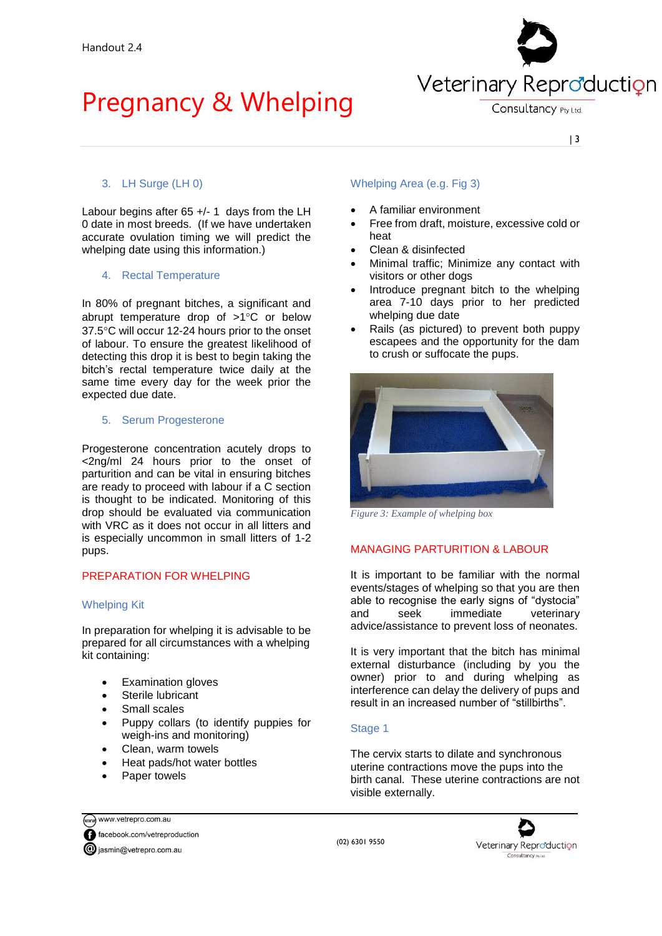

Consultancy Pty Ltd.

| 3

## 3. LH Surge (LH 0)

Labour begins after 65 +/- 1 days from the LH 0 date in most breeds. (If we have undertaken accurate ovulation timing we will predict the whelping date using this information.)

## 4. Rectal Temperature

In 80% of pregnant bitches, a significant and abrupt temperature drop of  $>1^{\circ}$ C or below 37.5C will occur 12-24 hours prior to the onset of labour. To ensure the greatest likelihood of detecting this drop it is best to begin taking the bitch's rectal temperature twice daily at the same time every day for the week prior the expected due date.

## 5. Serum Progesterone

Progesterone concentration acutely drops to <2ng/ml 24 hours prior to the onset of parturition and can be vital in ensuring bitches are ready to proceed with labour if a C section is thought to be indicated. Monitoring of this drop should be evaluated via communication with VRC as it does not occur in all litters and is especially uncommon in small litters of 1-2 pups.

## PREPARATION FOR WHELPING

### Whelping Kit

In preparation for whelping it is advisable to be prepared for all circumstances with a whelping kit containing:

- Examination gloves
- Sterile lubricant
- Small scales
- Puppy collars (to identify puppies for weigh-ins and monitoring)
- Clean, warm towels
- Heat pads/hot water bottles
- Paper towels

# Whelping Area (e.g. Fig 3)

- A familiar environment
- Free from draft, moisture, excessive cold or heat
- Clean & disinfected
- Minimal traffic; Minimize any contact with visitors or other dogs
- Introduce pregnant bitch to the whelping area 7-10 days prior to her predicted whelping due date
- Rails (as pictured) to prevent both puppy escapees and the opportunity for the dam to crush or suffocate the pups.



*Figure 3: Example of whelping box*

## MANAGING PARTURITION & LABOUR

It is important to be familiar with the normal events/stages of whelping so that you are then able to recognise the early signs of "dystocia" and seek immediate veterinary advice/assistance to prevent loss of neonates.

It is very important that the bitch has minimal external disturbance (including by you the owner) prior to and during whelping as interference can delay the delivery of pups and result in an increased number of "stillbirths".

## Stage 1

The cervix starts to dilate and synchronous uterine contractions move the pups into the birth canal. These uterine contractions are not visible externally.

www.vetrepro.com.au facebook.com/vetreproduction **@** jasmin@vetrepro.com.au

(02) 6301 9550

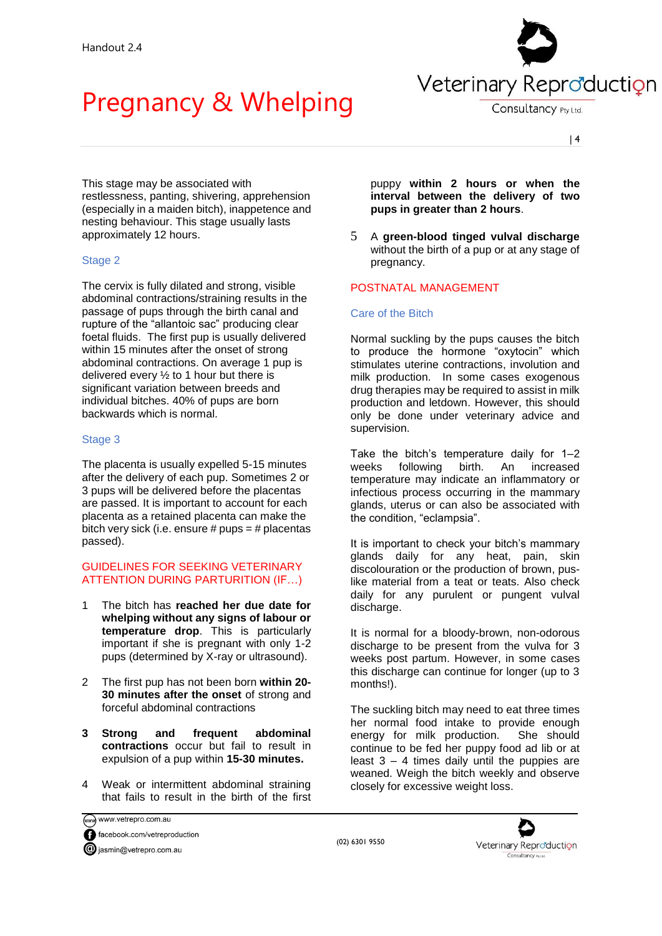

Consultancy Pty Ltd.

| 4

This stage may be associated with restlessness, panting, shivering, apprehension (especially in a maiden bitch), inappetence and nesting behaviour. This stage usually lasts approximately 12 hours.

## Stage 2

The cervix is fully dilated and strong, visible abdominal contractions/straining results in the passage of pups through the birth canal and rupture of the "allantoic sac" producing clear foetal fluids. The first pup is usually delivered within 15 minutes after the onset of strong abdominal contractions. On average 1 pup is delivered every ½ to 1 hour but there is significant variation between breeds and individual bitches. 40% of pups are born backwards which is normal.

# Stage 3

The placenta is usually expelled 5-15 minutes after the delivery of each pup. Sometimes 2 or 3 pups will be delivered before the placentas are passed. It is important to account for each placenta as a retained placenta can make the bitch very sick (i.e. ensure  $#$  pups =  $#$  placentas passed).

## GUIDELINES FOR SEEKING VETERINARY ATTENTION DURING PARTURITION (IF…)

- 1 The bitch has **reached her due date for whelping without any signs of labour or temperature drop**. This is particularly important if she is pregnant with only 1-2 pups (determined by X-ray or ultrasound).
- 2 The first pup has not been born **within 20- 30 minutes after the onset** of strong and forceful abdominal contractions
- **3 Strong and frequent abdominal contractions** occur but fail to result in expulsion of a pup within **15-30 minutes.**
- 4 Weak or intermittent abdominal straining that fails to result in the birth of the first

www.vetrepro.com.au facebook.com/vetreproduction iasmin@vetrepro.com.au

puppy **within 2 hours or when the interval between the delivery of two pups in greater than 2 hours**.

5 A **green-blood tinged vulval discharge** without the birth of a pup or at any stage of pregnancy.

# POSTNATAL MANAGEMENT

## Care of the Bitch

Normal suckling by the pups causes the bitch to produce the hormone "oxytocin" which stimulates uterine contractions, involution and milk production. In some cases exogenous drug therapies may be required to assist in milk production and letdown. However, this should only be done under veterinary advice and supervision.

Take the bitch's temperature daily for 1–2 weeks following birth. An increased temperature may indicate an inflammatory or infectious process occurring in the mammary glands, uterus or can also be associated with the condition, "eclampsia".

It is important to check your bitch's mammary glands daily for any heat, pain, skin discolouration or the production of brown, puslike material from a teat or teats. Also check daily for any purulent or pungent vulval discharge.

It is normal for a bloody-brown, non-odorous discharge to be present from the vulva for 3 weeks post partum. However, in some cases this discharge can continue for longer (up to 3 months!).

The suckling bitch may need to eat three times her normal food intake to provide enough energy for milk production. She should continue to be fed her puppy food ad lib or at least 3 – 4 times daily until the puppies are weaned. Weigh the bitch weekly and observe closely for excessive weight loss.

(02) 6301 9550